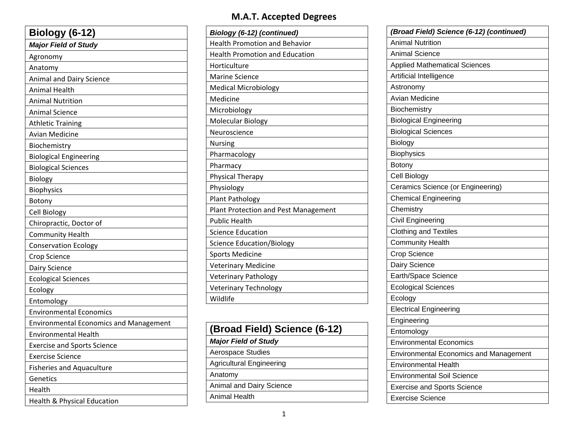| Biology (6-12)                                |
|-----------------------------------------------|
| <b>Major Field of Study</b>                   |
| Agronomy                                      |
| Anatomy                                       |
| Animal and Dairy Science                      |
| Animal Health                                 |
| <b>Animal Nutrition</b>                       |
| <b>Animal Science</b>                         |
| <b>Athletic Training</b>                      |
| <b>Avian Medicine</b>                         |
| Biochemistry                                  |
| <b>Biological Engineering</b>                 |
| <b>Biological Sciences</b>                    |
| Biology                                       |
| <b>Biophysics</b>                             |
| Botony                                        |
| Cell Biology                                  |
| Chiropractic, Doctor of                       |
| <b>Community Health</b>                       |
| <b>Conservation Ecology</b>                   |
| Crop Science                                  |
| Dairy Science                                 |
| <b>Ecological Sciences</b>                    |
| Ecology                                       |
| Entomology                                    |
| <b>Environmental Economics</b>                |
| <b>Environmental Economics and Management</b> |
| <b>Environmental Health</b>                   |
| <b>Exercise and Sports Science</b>            |
| <b>Exercise Science</b>                       |
| <b>Fisheries and Aquaculture</b>              |
| Genetics                                      |
| Health                                        |
| Health & Physical Education                   |

### **M.A.T. Accepted Degrees**

| Biology (6-12) (continued)            |
|---------------------------------------|
| <b>Health Promotion and Behavior</b>  |
| <b>Health Promotion and Education</b> |
| Horticulture                          |
| <b>Marine Science</b>                 |
| <b>Medical Microbiology</b>           |
| Medicine                              |
| Microbiology                          |
| Molecular Biology                     |
| Neuroscience                          |
| <b>Nursing</b>                        |
| Pharmacology                          |
| Pharmacy                              |
| <b>Physical Therapy</b>               |
| Physiology                            |
| <b>Plant Pathology</b>                |
| Plant Protection and Pest Management  |
| <b>Public Health</b>                  |
| <b>Science Education</b>              |
| <b>Science Education/Biology</b>      |
| <b>Sports Medicine</b>                |
| <b>Veterinary Medicine</b>            |
| <b>Veterinary Pathology</b>           |
| <b>Veterinary Technology</b>          |
| Wildlife                              |
|                                       |

| (Broad Field) Science (6-12)    |
|---------------------------------|
| <b>Major Field of Study</b>     |
| <b>Aerospace Studies</b>        |
| <b>Agricultural Engineering</b> |
| Anatomy                         |
| <b>Animal and Dairy Science</b> |
| Animal Health                   |

|                               | (Broad Field) Science (6-12) (continued)      |
|-------------------------------|-----------------------------------------------|
| <b>Animal Nutrition</b>       |                                               |
| <b>Animal Science</b>         |                                               |
|                               | <b>Applied Mathematical Sciences</b>          |
| Artificial Intelligence       |                                               |
| Astronomy                     |                                               |
| Avian Medicine                |                                               |
| Biochemistry                  |                                               |
| <b>Biological Engineering</b> |                                               |
| <b>Biological Sciences</b>    |                                               |
| <b>Biology</b>                |                                               |
| <b>Biophysics</b>             |                                               |
| Botony                        |                                               |
| Cell Biology                  |                                               |
|                               | Ceramics Science (or Engineering)             |
| <b>Chemical Engineering</b>   |                                               |
| Chemistry                     |                                               |
| Civil Engineering             |                                               |
| <b>Clothing and Textiles</b>  |                                               |
| <b>Community Health</b>       |                                               |
| <b>Crop Science</b>           |                                               |
| Dairy Science                 |                                               |
| Earth/Space Science           |                                               |
| <b>Ecological Sciences</b>    |                                               |
| Ecology                       |                                               |
| <b>Electrical Engineering</b> |                                               |
| Engineering                   |                                               |
| Entomology                    |                                               |
|                               | <b>Environmental Economics</b>                |
|                               | <b>Environmental Economics and Management</b> |
| Environmental Health          |                                               |
|                               | <b>Environmental Soil Science</b>             |
|                               | <b>Exercise and Sports Science</b>            |
| <b>Exercise Science</b>       |                                               |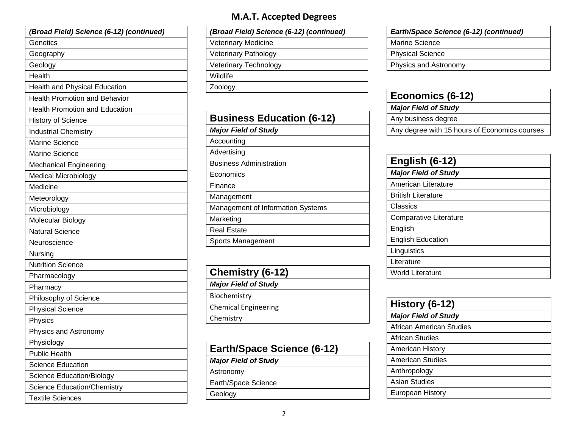| (Broad Field) Science (6-12) (continued) |
|------------------------------------------|
| Genetics                                 |
| Geography                                |
| Geology                                  |
| Health                                   |
| <b>Health and Physical Education</b>     |
| <b>Health Promotion and Behavior</b>     |
| <b>Health Promotion and Education</b>    |
| <b>History of Science</b>                |
| <b>Industrial Chemistry</b>              |
| <b>Marine Science</b>                    |
| <b>Marine Science</b>                    |
| <b>Mechanical Engineering</b>            |
| <b>Medical Microbiology</b>              |
| Medicine                                 |
| Meteorology                              |
| Microbiology                             |
| Molecular Biology                        |
| <b>Natural Science</b>                   |
| Neuroscience                             |
| Nursing                                  |
| <b>Nutrition Science</b>                 |
| Pharmacology                             |
| Pharmacy                                 |
| Philosophy of Science                    |
| <b>Physical Science</b>                  |
| Physics                                  |
| Physics and Astronomy                    |
| Physiology                               |
| <b>Public Health</b>                     |
| <b>Science Education</b>                 |
| <b>Science Education/Biology</b>         |
| <b>Science Education/Chemistry</b>       |
| <b>Textile Sciences</b>                  |

#### **M.A.T. Accepted Degrees**

*(Broad Field) Science (6-12) (continued)* Veterinary Medicine Veterinary Pathology Veterinary Technology Wildlife Zoology

| <b>Business Education (6-12)</b>  |  |  |
|-----------------------------------|--|--|
| <b>Major Field of Study</b>       |  |  |
| Accounting                        |  |  |
| Advertising                       |  |  |
| <b>Business Administration</b>    |  |  |
| Economics                         |  |  |
| Finance                           |  |  |
| Management                        |  |  |
| Management of Information Systems |  |  |
| Marketing                         |  |  |
| <b>Real Estate</b>                |  |  |
| Sports Management                 |  |  |

| Chemistry (6-12)            |
|-----------------------------|
| <b>Major Field of Study</b> |
| Biochemistry                |
| <b>Chemical Engineering</b> |
| Chemistry                   |
|                             |

| <b>Earth/Space Science (6-12)</b> |  |
|-----------------------------------|--|
| <b>Major Field of Study</b>       |  |

Astronomy

Earth/Space Science

Geology

*Earth/Space Science (6-12) (continued)*

Marine Science

Physical Science

Physics and Astronomy

## **Economics (6-12)**

*Major Field of Study* 

Any business degree

Any degree with 15 hours of Economics courses

| <b>English (6-12)</b>         |  |
|-------------------------------|--|
| <b>Major Field of Study</b>   |  |
| American Literature           |  |
| <b>British Literature</b>     |  |
| Classics                      |  |
| <b>Comparative Literature</b> |  |
| English                       |  |
| <b>English Education</b>      |  |
| Linguistics                   |  |
| Literature                    |  |
| World Literature              |  |

| History (6-12)              |  |
|-----------------------------|--|
| <b>Major Field of Study</b> |  |
| African American Studies    |  |
| African Studies             |  |
| <b>American History</b>     |  |
| <b>American Studies</b>     |  |
| Anthropology                |  |
| Asian Studies               |  |
| European History            |  |